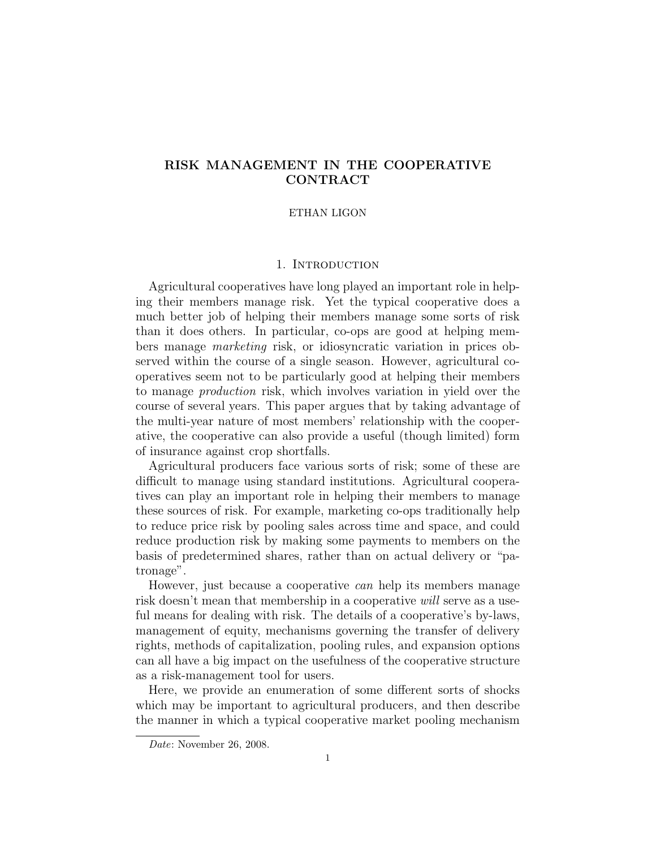# RISK MANAGEMENT IN THE COOPERATIVE CONTRACT

#### ETHAN LIGON

# 1. INTRODUCTION

Agricultural cooperatives have long played an important role in helping their members manage risk. Yet the typical cooperative does a much better job of helping their members manage some sorts of risk than it does others. In particular, co-ops are good at helping members manage marketing risk, or idiosyncratic variation in prices observed within the course of a single season. However, agricultural cooperatives seem not to be particularly good at helping their members to manage production risk, which involves variation in yield over the course of several years. This paper argues that by taking advantage of the multi-year nature of most members' relationship with the cooperative, the cooperative can also provide a useful (though limited) form of insurance against crop shortfalls.

Agricultural producers face various sorts of risk; some of these are difficult to manage using standard institutions. Agricultural cooperatives can play an important role in helping their members to manage these sources of risk. For example, marketing co-ops traditionally help to reduce price risk by pooling sales across time and space, and could reduce production risk by making some payments to members on the basis of predetermined shares, rather than on actual delivery or "patronage".

However, just because a cooperative *can* help its members manage risk doesn't mean that membership in a cooperative will serve as a useful means for dealing with risk. The details of a cooperative's by-laws, management of equity, mechanisms governing the transfer of delivery rights, methods of capitalization, pooling rules, and expansion options can all have a big impact on the usefulness of the cooperative structure as a risk-management tool for users.

Here, we provide an enumeration of some different sorts of shocks which may be important to agricultural producers, and then describe the manner in which a typical cooperative market pooling mechanism

Date: November 26, 2008.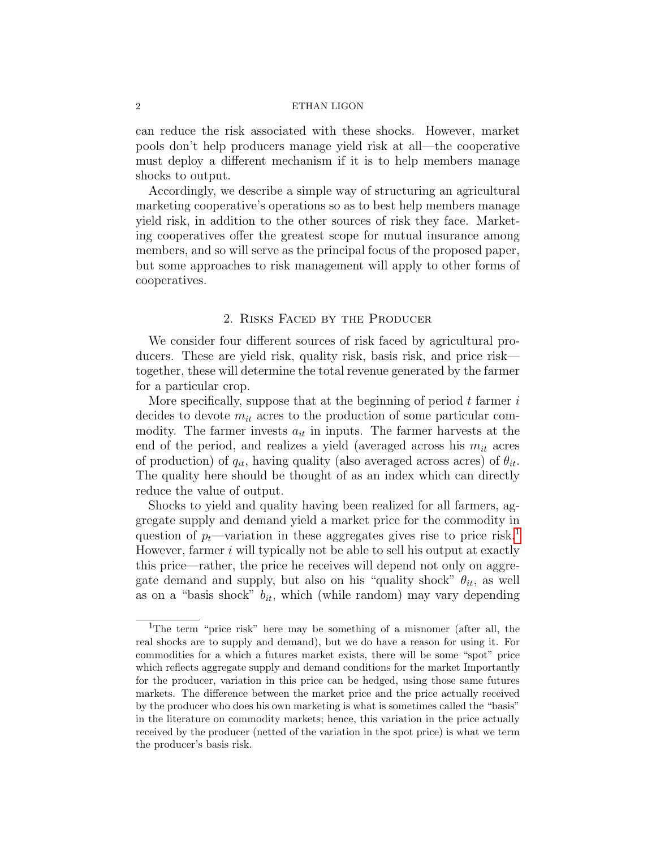can reduce the risk associated with these shocks. However, market pools don't help producers manage yield risk at all—the cooperative must deploy a different mechanism if it is to help members manage shocks to output.

Accordingly, we describe a simple way of structuring an agricultural marketing cooperative's operations so as to best help members manage yield risk, in addition to the other sources of risk they face. Marketing cooperatives offer the greatest scope for mutual insurance among members, and so will serve as the principal focus of the proposed paper, but some approaches to risk management will apply to other forms of cooperatives.

## 2. Risks Faced by the Producer

We consider four different sources of risk faced by agricultural producers. These are yield risk, quality risk, basis risk, and price risk together, these will determine the total revenue generated by the farmer for a particular crop.

More specifically, suppose that at the beginning of period  $t$  farmer  $i$ decides to devote  $m_{it}$  acres to the production of some particular commodity. The farmer invests  $a_{it}$  in inputs. The farmer harvests at the end of the period, and realizes a yield (averaged across his  $m_{it}$  acres of production) of  $q_{it}$ , having quality (also averaged across acres) of  $\theta_{it}$ . The quality here should be thought of as an index which can directly reduce the value of output.

Shocks to yield and quality having been realized for all farmers, aggregate supply and demand yield a market price for the commodity in question of  $p_t$ —variation in these aggregates gives rise to price risk.<sup>[1](#page-1-0)</sup> However, farmer  $i$  will typically not be able to sell his output at exactly this price—rather, the price he receives will depend not only on aggregate demand and supply, but also on his "quality shock"  $\theta_{it}$ , as well as on a "basis shock"  $b_{it}$ , which (while random) may vary depending

<span id="page-1-0"></span><sup>&</sup>lt;sup>1</sup>The term "price risk" here may be something of a misnomer (after all, the real shocks are to supply and demand), but we do have a reason for using it. For commodities for a which a futures market exists, there will be some "spot" price which reflects aggregate supply and demand conditions for the market Importantly for the producer, variation in this price can be hedged, using those same futures markets. The difference between the market price and the price actually received by the producer who does his own marketing is what is sometimes called the "basis" in the literature on commodity markets; hence, this variation in the price actually received by the producer (netted of the variation in the spot price) is what we term the producer's basis risk.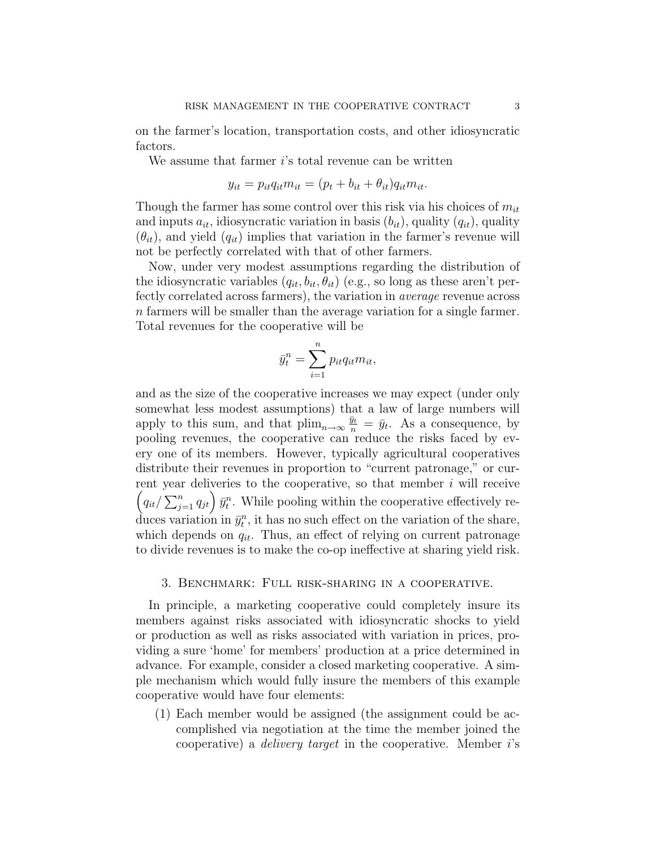on the farmer's location, transportation costs, and other idiosyncratic factors.

We assume that farmer is total revenue can be written

$$
y_{it} = p_{it}q_{it}m_{it} = (p_t + b_{it} + \theta_{it})q_{it}m_{it}.
$$

Though the farmer has some control over this risk via his choices of  $m_{it}$ and inputs  $a_{it}$ , idiosyncratic variation in basis  $(b_{it})$ , quality  $(q_{it})$ , quality  $(\theta_{it})$ , and yield  $(q_{it})$  implies that variation in the farmer's revenue will not be perfectly correlated with that of other farmers.

Now, under very modest assumptions regarding the distribution of the idiosyncratic variables  $(q_{it}, b_{it}, \theta_{it})$  (e.g., so long as these aren't perfectly correlated across farmers), the variation in average revenue across n farmers will be smaller than the average variation for a single farmer. Total revenues for the cooperative will be

$$
\bar{y}_t^n = \sum_{i=1}^n p_{it} q_{it} m_{it},
$$

and as the size of the cooperative increases we may expect (under only somewhat less modest assumptions) that a law of large numbers will apply to this sum, and that  $\lim_{n\to\infty} \frac{\bar{y}_t}{n} = \bar{y}_t$ . As a consequence, by pooling revenues, the cooperative can reduce the risks faced by every one of its members. However, typically agricultural cooperatives distribute their revenues in proportion to "current patronage," or current year deliveries to the cooperative, so that member  $i$  will receive  $\left(q_{it}/\sum_{j=1}^n q_{jt}\right)\bar{y}_t^n$ . While pooling within the cooperative effectively reduces variation in  $\bar{y}_t^n$ , it has no such effect on the variation of the share, which depends on  $q_{it}$ . Thus, an effect of relying on current patronage to divide revenues is to make the co-op ineffective at sharing yield risk.

#### 3. Benchmark: Full risk-sharing in a cooperative.

In principle, a marketing cooperative could completely insure its members against risks associated with idiosyncratic shocks to yield or production as well as risks associated with variation in prices, providing a sure 'home' for members' production at a price determined in advance. For example, consider a closed marketing cooperative. A simple mechanism which would fully insure the members of this example cooperative would have four elements:

(1) Each member would be assigned (the assignment could be accomplished via negotiation at the time the member joined the cooperative) a delivery target in the cooperative. Member i's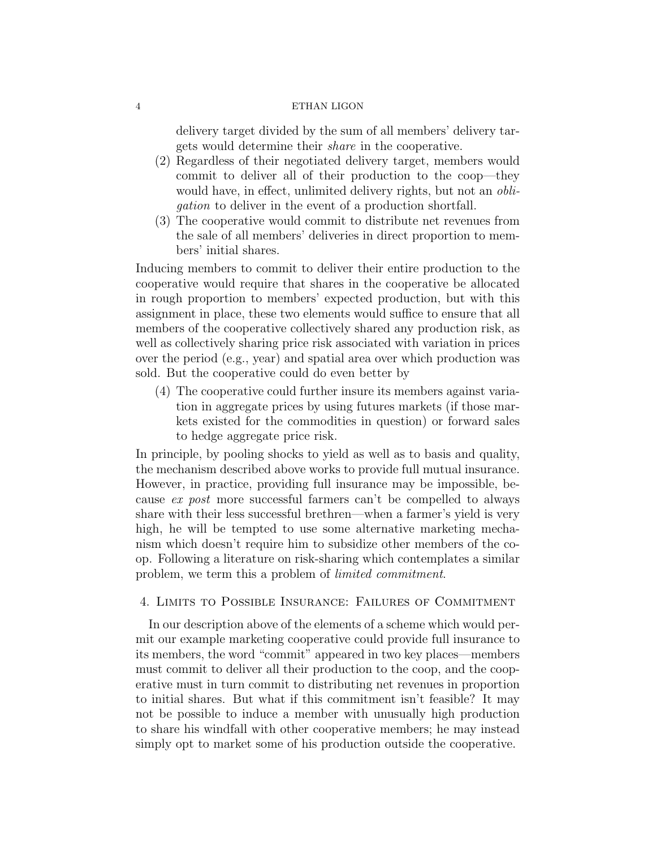delivery target divided by the sum of all members' delivery targets would determine their share in the cooperative.

- (2) Regardless of their negotiated delivery target, members would commit to deliver all of their production to the coop—they would have, in effect, unlimited delivery rights, but not an *obli*gation to deliver in the event of a production shortfall.
- (3) The cooperative would commit to distribute net revenues from the sale of all members' deliveries in direct proportion to members' initial shares.

Inducing members to commit to deliver their entire production to the cooperative would require that shares in the cooperative be allocated in rough proportion to members' expected production, but with this assignment in place, these two elements would suffice to ensure that all members of the cooperative collectively shared any production risk, as well as collectively sharing price risk associated with variation in prices over the period (e.g., year) and spatial area over which production was sold. But the cooperative could do even better by

(4) The cooperative could further insure its members against variation in aggregate prices by using futures markets (if those markets existed for the commodities in question) or forward sales to hedge aggregate price risk.

In principle, by pooling shocks to yield as well as to basis and quality, the mechanism described above works to provide full mutual insurance. However, in practice, providing full insurance may be impossible, because ex post more successful farmers can't be compelled to always share with their less successful brethren—when a farmer's yield is very high, he will be tempted to use some alternative marketing mechanism which doesn't require him to subsidize other members of the coop. Following a literature on risk-sharing which contemplates a similar problem, we term this a problem of limited commitment.

## 4. Limits to Possible Insurance: Failures of Commitment

In our description above of the elements of a scheme which would permit our example marketing cooperative could provide full insurance to its members, the word "commit" appeared in two key places—members must commit to deliver all their production to the coop, and the cooperative must in turn commit to distributing net revenues in proportion to initial shares. But what if this commitment isn't feasible? It may not be possible to induce a member with unusually high production to share his windfall with other cooperative members; he may instead simply opt to market some of his production outside the cooperative.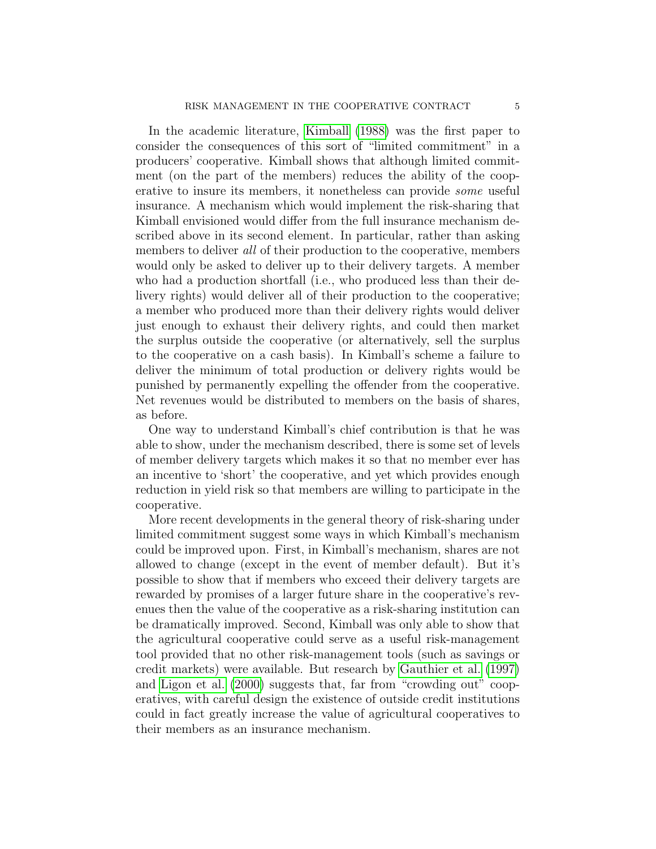In the academic literature, [Kimball](#page-11-0) [\(1988\)](#page-11-0) was the first paper to consider the consequences of this sort of "limited commitment" in a producers' cooperative. Kimball shows that although limited commitment (on the part of the members) reduces the ability of the cooperative to insure its members, it nonetheless can provide some useful insurance. A mechanism which would implement the risk-sharing that Kimball envisioned would differ from the full insurance mechanism described above in its second element. In particular, rather than asking members to deliver all of their production to the cooperative, members would only be asked to deliver up to their delivery targets. A member who had a production shortfall (i.e., who produced less than their delivery rights) would deliver all of their production to the cooperative; a member who produced more than their delivery rights would deliver just enough to exhaust their delivery rights, and could then market the surplus outside the cooperative (or alternatively, sell the surplus to the cooperative on a cash basis). In Kimball's scheme a failure to deliver the minimum of total production or delivery rights would be punished by permanently expelling the offender from the cooperative. Net revenues would be distributed to members on the basis of shares, as before.

One way to understand Kimball's chief contribution is that he was able to show, under the mechanism described, there is some set of levels of member delivery targets which makes it so that no member ever has an incentive to 'short' the cooperative, and yet which provides enough reduction in yield risk so that members are willing to participate in the cooperative.

More recent developments in the general theory of risk-sharing under limited commitment suggest some ways in which Kimball's mechanism could be improved upon. First, in Kimball's mechanism, shares are not allowed to change (except in the event of member default). But it's possible to show that if members who exceed their delivery targets are rewarded by promises of a larger future share in the cooperative's revenues then the value of the cooperative as a risk-sharing institution can be dramatically improved. Second, Kimball was only able to show that the agricultural cooperative could serve as a useful risk-management tool provided that no other risk-management tools (such as savings or credit markets) were available. But research by [Gauthier et al.](#page-11-1) [\(1997\)](#page-11-1) and [Ligon et al.](#page-11-2) [\(2000\)](#page-11-2) suggests that, far from "crowding out" cooperatives, with careful design the existence of outside credit institutions could in fact greatly increase the value of agricultural cooperatives to their members as an insurance mechanism.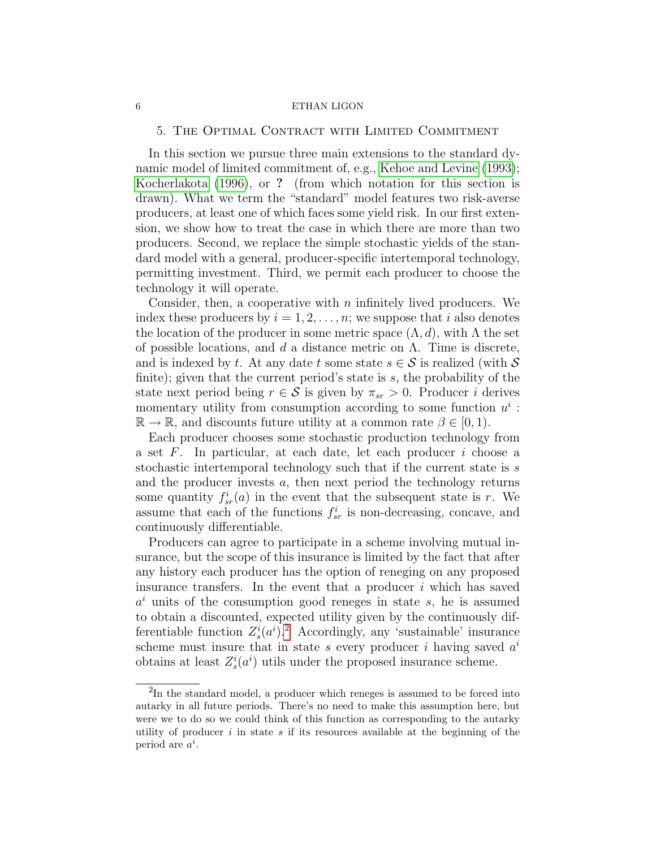### 5. The Optimal Contract with Limited Commitment

In this section we pursue three main extensions to the standard dy-namic model of limited commitment of, e.g., [Kehoe and Levine](#page-11-3) [\(1993\)](#page-11-3); [Kocherlakota](#page-11-4) [\(1996\)](#page-11-4), or ? (from which notation for this section is drawn). What we term the "standard" model features two risk-averse producers, at least one of which faces some yield risk. In our first extension, we show how to treat the case in which there are more than two producers. Second, we replace the simple stochastic yields of the standard model with a general, producer-specific intertemporal technology, permitting investment. Third, we permit each producer to choose the technology it will operate.

Consider, then, a cooperative with  $n$  infinitely lived producers. We index these producers by  $i = 1, 2, \ldots, n$ ; we suppose that i also denotes the location of the producer in some metric space  $(\Lambda, d)$ , with  $\Lambda$  the set of possible locations, and d a distance metric on  $\Lambda$ . Time is discrete, and is indexed by t. At any date t some state  $s \in \mathcal{S}$  is realized (with  $\mathcal{S}$ ) finite); given that the current period's state is  $s$ , the probability of the state next period being  $r \in S$  is given by  $\pi_{sr} > 0$ . Producer *i* derives momentary utility from consumption according to some function  $u^i$ :  $\mathbb{R} \to \mathbb{R}$ , and discounts future utility at a common rate  $\beta \in [0, 1)$ .

Each producer chooses some stochastic production technology from a set F. In particular, at each date, let each producer i choose a stochastic intertemporal technology such that if the current state is s and the producer invests  $a$ , then next period the technology returns some quantity  $f_{sr}^i(a)$  in the event that the subsequent state is r. We assume that each of the functions  $f_{sr}^i$  is non-decreasing, concave, and continuously differentiable.

Producers can agree to participate in a scheme involving mutual insurance, but the scope of this insurance is limited by the fact that after any history each producer has the option of reneging on any proposed insurance transfers. In the event that a producer  $i$  which has saved  $a^i$  units of the consumption good reneges in state s, he is assumed to obtain a discounted, expected utility given by the continuously differentiable function  $Z_s^i(a^i)$ .<sup>[2](#page-5-0)</sup> Accordingly, any 'sustainable' insurance scheme must insure that in state s every producer i having saved  $a^i$ obtains at least  $Z_s^i(a^i)$  utils under the proposed insurance scheme.

<span id="page-5-0"></span><sup>&</sup>lt;sup>2</sup>In the standard model, a producer which reneges is assumed to be forced into autarky in all future periods. There's no need to make this assumption here, but were we to do so we could think of this function as corresponding to the autarky utility of producer i in state s if its resources available at the beginning of the period are  $a^i$ .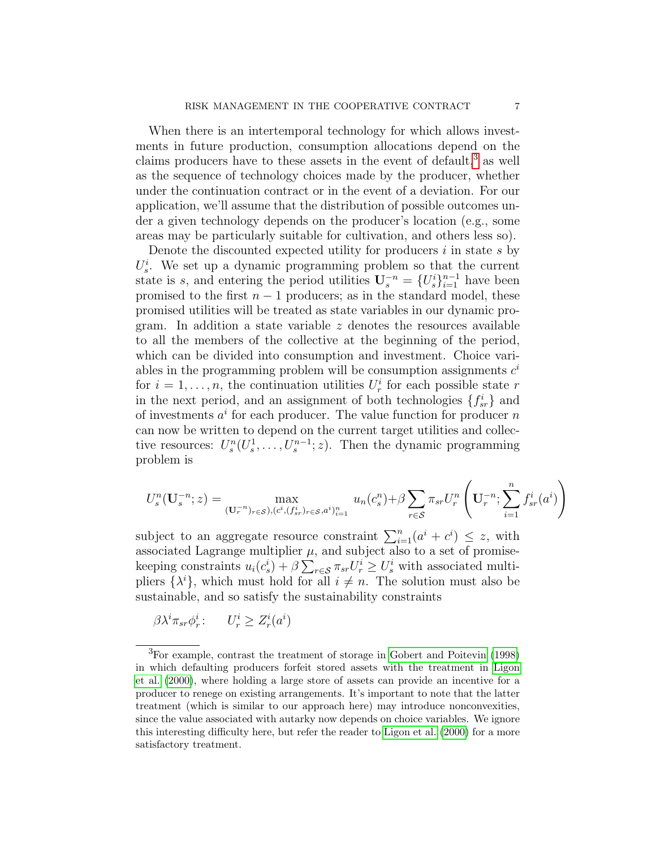When there is an intertemporal technology for which allows investments in future production, consumption allocations depend on the claims producers have to these assets in the event of default,<sup>[3](#page-6-0)</sup> as well as the sequence of technology choices made by the producer, whether under the continuation contract or in the event of a deviation. For our application, we'll assume that the distribution of possible outcomes under a given technology depends on the producer's location (e.g., some areas may be particularly suitable for cultivation, and others less so).

Denote the discounted expected utility for producers i in state s by  $U_s^i$ . We set up a dynamic programming problem so that the current state is s, and entering the period utilities  $\mathbf{U}_{s}^{-n} = \{U_{s}^{i}\}_{i=1}^{n-1}$  have been promised to the first  $n - 1$  producers; as in the standard model, these promised utilities will be treated as state variables in our dynamic program. In addition a state variable z denotes the resources available to all the members of the collective at the beginning of the period, which can be divided into consumption and investment. Choice variables in the programming problem will be consumption assignments  $c<sup>i</sup>$ for  $i = 1, \ldots, n$ , the continuation utilities  $U_r^i$  for each possible state r in the next period, and an assignment of both technologies  $\{f_{sr}^i\}$  and of investments  $a^i$  for each producer. The value function for producer n can now be written to depend on the current target utilities and collective resources:  $U_s^n(U_s^1, \ldots, U_s^{n-1}; z)$ . Then the dynamic programming problem is

$$
U_s^n(\mathbf{U}_s^{-n}; z) = \max_{(\mathbf{U}_r^{-n})_{r \in S}, (c^i, (f_{sr}^i)_{r \in S}, a^i)_{i=1}^n} u_n(c_s^n) + \beta \sum_{r \in S} \pi_{sr} U_r^n\left(\mathbf{U}_r^{-n}; \sum_{i=1}^n f_{sr}^i(a^i)\right)
$$

subject to an aggregate resource constraint  $\sum_{i=1}^{n} (a^i + c^i) \leq z$ , with associated Lagrange multiplier  $\mu$ , and subject also to a set of promisekeeping constraints  $u_i(c_s^i) + \beta \sum_{r \in S} \pi_{sr} U_r^i \geq U_s^i$  with associated multipliers  $\{\lambda^{i}\},$  which must hold for all  $i \neq n$ . The solution must also be sustainable, and so satisfy the sustainability constraints

$$
\beta \lambda^i \pi_{sr} \phi^i_r : \qquad U^i_r \ge Z^i_r(a^i)
$$

<span id="page-6-0"></span><sup>3</sup>For example, contrast the treatment of storage in [Gobert and Poitevin](#page-11-5) [\(1998\)](#page-11-5) in which defaulting producers forfeit stored assets with the treatment in [Ligon](#page-11-2) [et al.](#page-11-2) [\(2000\)](#page-11-2), where holding a large store of assets can provide an incentive for a producer to renege on existing arrangements. It's important to note that the latter treatment (which is similar to our approach here) may introduce nonconvexities, since the value associated with autarky now depends on choice variables. We ignore this interesting difficulty here, but refer the reader to [Ligon et al.](#page-11-2) [\(2000\)](#page-11-2) for a more satisfactory treatment.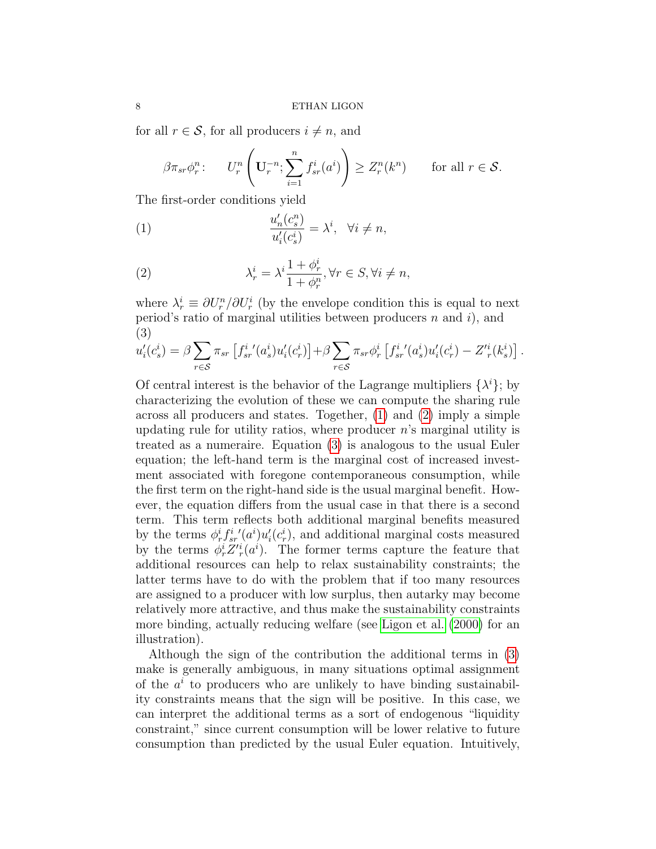for all  $r \in \mathcal{S}$ , for all producers  $i \neq n$ , and

<span id="page-7-0"></span>
$$
\beta \pi_{sr} \phi_r^n: \qquad U_r^n \left( \mathbf{U}_r^{-n}; \sum_{i=1}^n f_{sr}^i(a^i) \right) \ge Z_r^n(k^n) \qquad \text{for all } r \in \mathcal{S}.
$$

The first-order conditions yield

(1) 
$$
\frac{u'_n(c_s^n)}{u'_i(c_s^i)} = \lambda^i, \quad \forall i \neq n,
$$

<span id="page-7-1"></span>(2) 
$$
\lambda_r^i = \lambda^i \frac{1 + \phi_r^i}{1 + \phi_r^n}, \forall r \in S, \forall i \neq n,
$$

where  $\lambda_r^i \equiv \partial U_r^n / \partial U_r^i$  (by the envelope condition this is equal to next period's ratio of marginal utilities between producers  $n$  and  $i$ ), and (3)

<span id="page-7-2"></span>
$$
u'_{i}(c_{s}^{i}) = \beta \sum_{r \in S} \pi_{sr} \left[ f_{sr}^{i}(a_{s}^{i}) u'_{i}(c_{r}^{i}) \right] + \beta \sum_{r \in S} \pi_{sr} \phi_{r}^{i} \left[ f_{sr}^{i}(a_{s}^{i}) u'_{i}(c_{r}^{i}) - Z_{r}^{i}(k_{s}^{i}) \right].
$$

Of central interest is the behavior of the Lagrange multipliers  $\{\lambda^{i}\}$ ; by characterizing the evolution of these we can compute the sharing rule across all producers and states. Together, [\(1\)](#page-7-0) and [\(2\)](#page-7-1) imply a simple updating rule for utility ratios, where producer  $n$ 's marginal utility is treated as a numeraire. Equation [\(3\)](#page-7-2) is analogous to the usual Euler equation; the left-hand term is the marginal cost of increased investment associated with foregone contemporaneous consumption, while the first term on the right-hand side is the usual marginal benefit. However, the equation differs from the usual case in that there is a second term. This term reflects both additional marginal benefits measured by the terms  $\phi_r^i f_{sr}^{i'}(a^i) u_i'(c_r^i)$ , and additional marginal costs measured by the terms  $\phi_r^i Z_r^i(a^i)$ . The former terms capture the feature that additional resources can help to relax sustainability constraints; the latter terms have to do with the problem that if too many resources are assigned to a producer with low surplus, then autarky may become relatively more attractive, and thus make the sustainability constraints more binding, actually reducing welfare (see [Ligon et al.](#page-11-2) [\(2000\)](#page-11-2) for an illustration).

Although the sign of the contribution the additional terms in [\(3\)](#page-7-2) make is generally ambiguous, in many situations optimal assignment of the  $a^i$  to producers who are unlikely to have binding sustainability constraints means that the sign will be positive. In this case, we can interpret the additional terms as a sort of endogenous "liquidity constraint," since current consumption will be lower relative to future consumption than predicted by the usual Euler equation. Intuitively,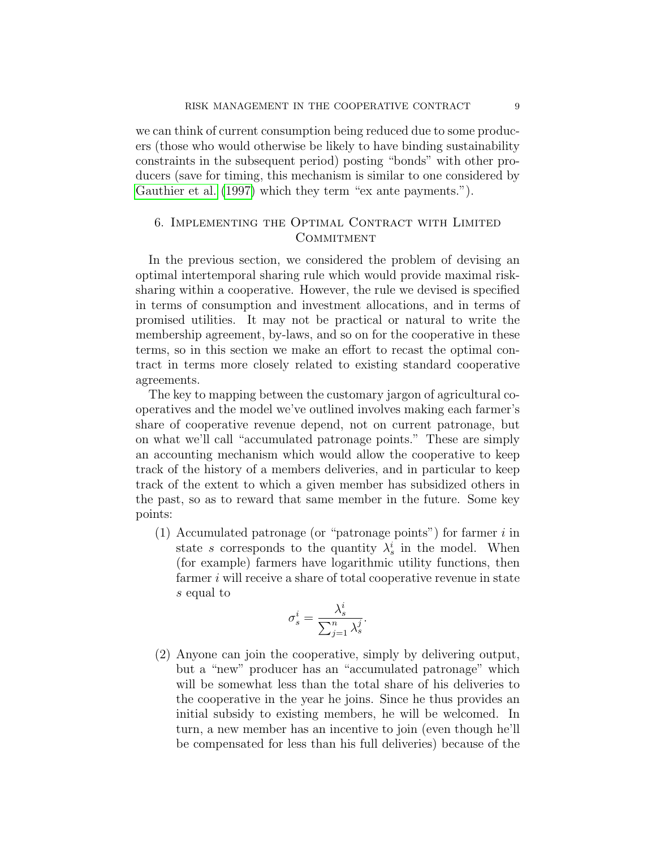we can think of current consumption being reduced due to some producers (those who would otherwise be likely to have binding sustainability constraints in the subsequent period) posting "bonds" with other producers (save for timing, this mechanism is similar to one considered by [Gauthier et al.](#page-11-1) [\(1997\)](#page-11-1) which they term "ex ante payments.").

# 6. Implementing the Optimal Contract with Limited COMMITMENT

In the previous section, we considered the problem of devising an optimal intertemporal sharing rule which would provide maximal risksharing within a cooperative. However, the rule we devised is specified in terms of consumption and investment allocations, and in terms of promised utilities. It may not be practical or natural to write the membership agreement, by-laws, and so on for the cooperative in these terms, so in this section we make an effort to recast the optimal contract in terms more closely related to existing standard cooperative agreements.

The key to mapping between the customary jargon of agricultural cooperatives and the model we've outlined involves making each farmer's share of cooperative revenue depend, not on current patronage, but on what we'll call "accumulated patronage points." These are simply an accounting mechanism which would allow the cooperative to keep track of the history of a members deliveries, and in particular to keep track of the extent to which a given member has subsidized others in the past, so as to reward that same member in the future. Some key points:

(1) Accumulated patronage (or "patronage points") for farmer  $i$  in state s corresponds to the quantity  $\lambda_s^i$  in the model. When (for example) farmers have logarithmic utility functions, then farmer *i* will receive a share of total cooperative revenue in state s equal to

$$
\sigma_s^i = \frac{\lambda_s^i}{\sum_{j=1}^n \lambda_s^j}.
$$

(2) Anyone can join the cooperative, simply by delivering output, but a "new" producer has an "accumulated patronage" which will be somewhat less than the total share of his deliveries to the cooperative in the year he joins. Since he thus provides an initial subsidy to existing members, he will be welcomed. In turn, a new member has an incentive to join (even though he'll be compensated for less than his full deliveries) because of the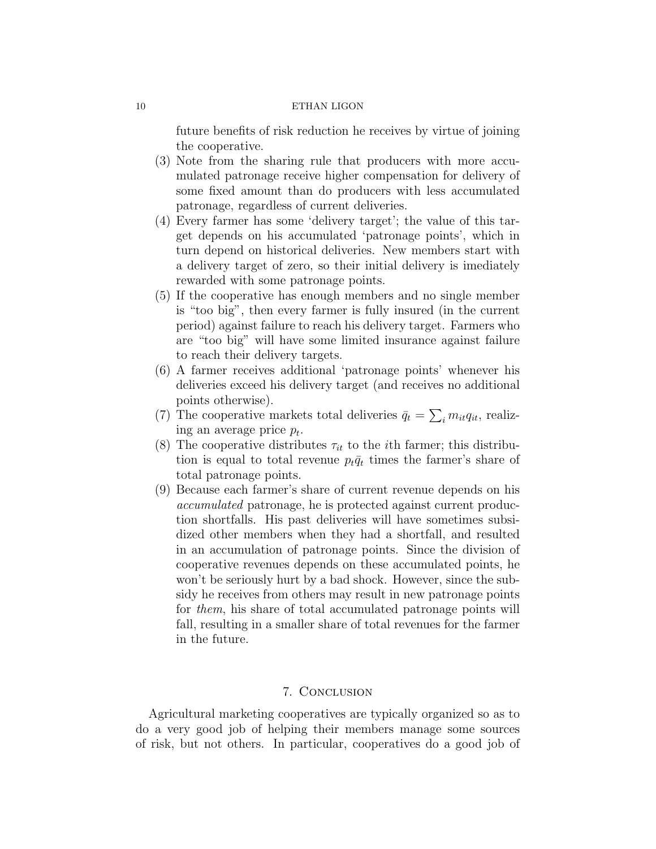future benefits of risk reduction he receives by virtue of joining the cooperative.

- (3) Note from the sharing rule that producers with more accumulated patronage receive higher compensation for delivery of some fixed amount than do producers with less accumulated patronage, regardless of current deliveries.
- (4) Every farmer has some 'delivery target'; the value of this target depends on his accumulated 'patronage points', which in turn depend on historical deliveries. New members start with a delivery target of zero, so their initial delivery is imediately rewarded with some patronage points.
- (5) If the cooperative has enough members and no single member is "too big", then every farmer is fully insured (in the current period) against failure to reach his delivery target. Farmers who are "too big" will have some limited insurance against failure to reach their delivery targets.
- (6) A farmer receives additional 'patronage points' whenever his deliveries exceed his delivery target (and receives no additional points otherwise).
- (7) The cooperative markets total deliveries  $\bar{q}_t = \sum_i m_{it} q_{it}$ , realizing an average price  $p_t$ .
- (8) The cooperative distributes  $\tau_{it}$  to the *i*th farmer; this distribution is equal to total revenue  $p_t\bar{q}_t$  times the farmer's share of total patronage points.
- (9) Because each farmer's share of current revenue depends on his accumulated patronage, he is protected against current production shortfalls. His past deliveries will have sometimes subsidized other members when they had a shortfall, and resulted in an accumulation of patronage points. Since the division of cooperative revenues depends on these accumulated points, he won't be seriously hurt by a bad shock. However, since the subsidy he receives from others may result in new patronage points for them, his share of total accumulated patronage points will fall, resulting in a smaller share of total revenues for the farmer in the future.

# 7. Conclusion

Agricultural marketing cooperatives are typically organized so as to do a very good job of helping their members manage some sources of risk, but not others. In particular, cooperatives do a good job of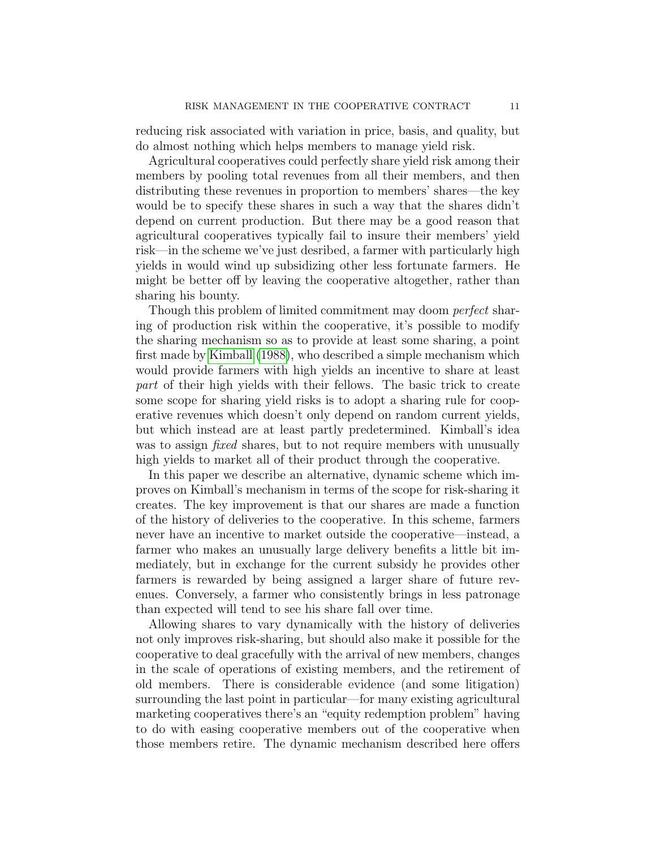reducing risk associated with variation in price, basis, and quality, but do almost nothing which helps members to manage yield risk.

Agricultural cooperatives could perfectly share yield risk among their members by pooling total revenues from all their members, and then distributing these revenues in proportion to members' shares—the key would be to specify these shares in such a way that the shares didn't depend on current production. But there may be a good reason that agricultural cooperatives typically fail to insure their members' yield risk—in the scheme we've just desribed, a farmer with particularly high yields in would wind up subsidizing other less fortunate farmers. He might be better off by leaving the cooperative altogether, rather than sharing his bounty.

Though this problem of limited commitment may doom *perfect* sharing of production risk within the cooperative, it's possible to modify the sharing mechanism so as to provide at least some sharing, a point first made by [Kimball](#page-11-0) [\(1988\)](#page-11-0), who described a simple mechanism which would provide farmers with high yields an incentive to share at least part of their high yields with their fellows. The basic trick to create some scope for sharing yield risks is to adopt a sharing rule for cooperative revenues which doesn't only depend on random current yields, but which instead are at least partly predetermined. Kimball's idea was to assign *fixed* shares, but to not require members with unusually high yields to market all of their product through the cooperative.

In this paper we describe an alternative, dynamic scheme which improves on Kimball's mechanism in terms of the scope for risk-sharing it creates. The key improvement is that our shares are made a function of the history of deliveries to the cooperative. In this scheme, farmers never have an incentive to market outside the cooperative—instead, a farmer who makes an unusually large delivery benefits a little bit immediately, but in exchange for the current subsidy he provides other farmers is rewarded by being assigned a larger share of future revenues. Conversely, a farmer who consistently brings in less patronage than expected will tend to see his share fall over time.

Allowing shares to vary dynamically with the history of deliveries not only improves risk-sharing, but should also make it possible for the cooperative to deal gracefully with the arrival of new members, changes in the scale of operations of existing members, and the retirement of old members. There is considerable evidence (and some litigation) surrounding the last point in particular—for many existing agricultural marketing cooperatives there's an "equity redemption problem" having to do with easing cooperative members out of the cooperative when those members retire. The dynamic mechanism described here offers